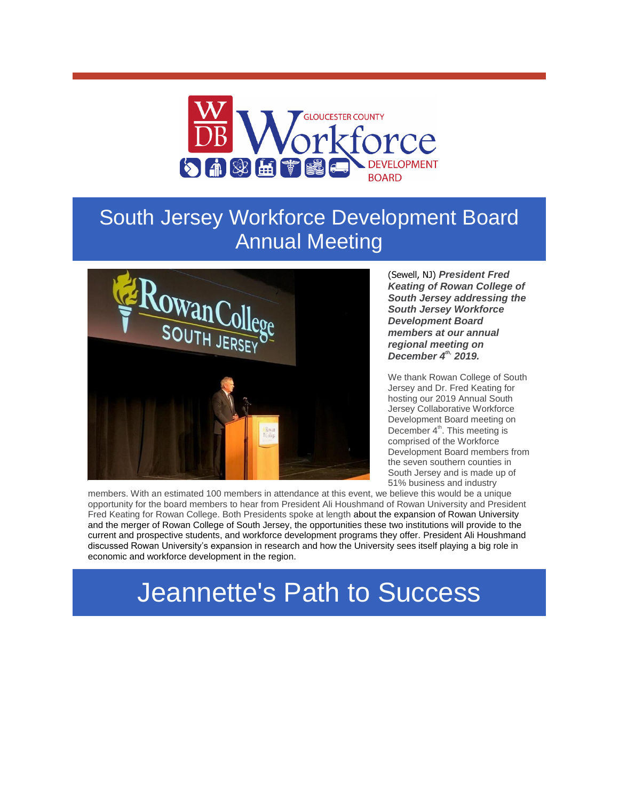

## South Jersey Workforce Development Board Annual Meeting



(Sewell, NJ) *President Fred Keating of Rowan College of South Jersey addressing the South Jersey Workforce Development Board members at our annual regional meeting on December 4th, 2019.* 

We thank Rowan College of South Jersey and Dr. Fred Keating for hosting our 2019 Annual South Jersey Collaborative Workforce Development Board meeting on December 4<sup>th</sup>. This meeting is comprised of the Workforce Development Board members from the seven southern counties in South Jersey and is made up of 51% business and industry

members. With an estimated 100 members in attendance at this event, we believe this would be a unique opportunity for the board members to hear from President Ali Houshmand of Rowan University and President Fred Keating for Rowan College. Both Presidents spoke at length about the expansion of Rowan University and the merger of Rowan College of South Jersey, the opportunities these two institutions will provide to the current and prospective students, and workforce development programs they offer. President Ali Houshmand discussed Rowan University's expansion in research and how the University sees itself playing a big role in economic and workforce development in the region.

## Jeannette's Path to Success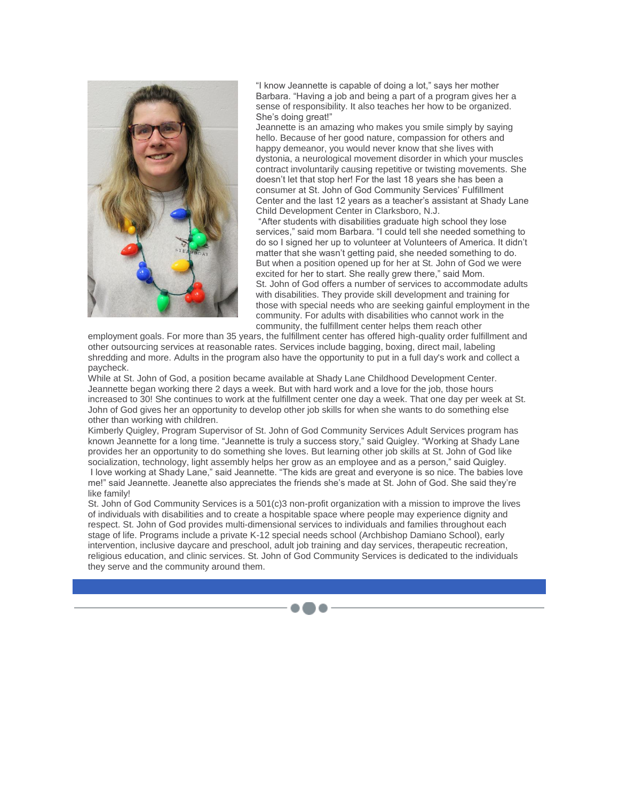

"I know Jeannette is capable of doing a lot," says her mother Barbara. "Having a job and being a part of a program gives her a sense of responsibility. It also teaches her how to be organized. She's doing great!"

Jeannette is an amazing who makes you smile simply by saying hello. Because of her good nature, compassion for others and happy demeanor, you would never know that she lives with dystonia, a neurological movement disorder in which your muscles contract involuntarily causing repetitive or twisting movements. She doesn't let that stop her! For the last 18 years she has been a consumer at St. John of God Community Services' Fulfillment Center and the last 12 years as a teacher's assistant at Shady Lane Child Development Center in Clarksboro, N.J.

"After students with disabilities graduate high school they lose services," said mom Barbara. "I could tell she needed something to do so I signed her up to volunteer at Volunteers of America. It didn't matter that she wasn't getting paid, she needed something to do. But when a position opened up for her at St. John of God we were excited for her to start. She really grew there," said Mom. St. John of God offers a number of services to accommodate adults with disabilities. They provide skill development and training for those with special needs who are seeking gainful employment in the community. For adults with disabilities who cannot work in the community, the fulfillment center helps them reach other

employment goals. For more than 35 years, the fulfillment center has offered high-quality order fulfillment and other outsourcing services at reasonable rates. Services include bagging, boxing, direct mail, labeling shredding and more. Adults in the program also have the opportunity to put in a full day's work and collect a paycheck.

While at St. John of God, a position became available at Shady Lane Childhood Development Center. Jeannette began working there 2 days a week. But with hard work and a love for the job, those hours increased to 30! She continues to work at the fulfillment center one day a week. That one day per week at St. John of God gives her an opportunity to develop other job skills for when she wants to do something else other than working with children.

Kimberly Quigley, Program Supervisor of St. John of God Community Services Adult Services program has known Jeannette for a long time. "Jeannette is truly a success story," said Quigley. "Working at Shady Lane provides her an opportunity to do something she loves. But learning other job skills at St. John of God like socialization, technology, light assembly helps her grow as an employee and as a person," said Quigley. I love working at Shady Lane," said Jeannette. "The kids are great and everyone is so nice. The babies love

me!" said Jeannette. Jeanette also appreciates the friends she's made at St. John of God. She said they're like family!

St. John of God Community Services is a 501(c)3 non-profit organization with a mission to improve the lives of individuals with disabilities and to create a hospitable space where people may experience dignity and respect. St. John of God provides multi-dimensional services to individuals and families throughout each stage of life. Programs include a private K-12 special needs school (Archbishop Damiano School), early intervention, inclusive daycare and preschool, adult job training and day services, therapeutic recreation, religious education, and clinic services. St. John of God Community Services is dedicated to the individuals they serve and the community around them.

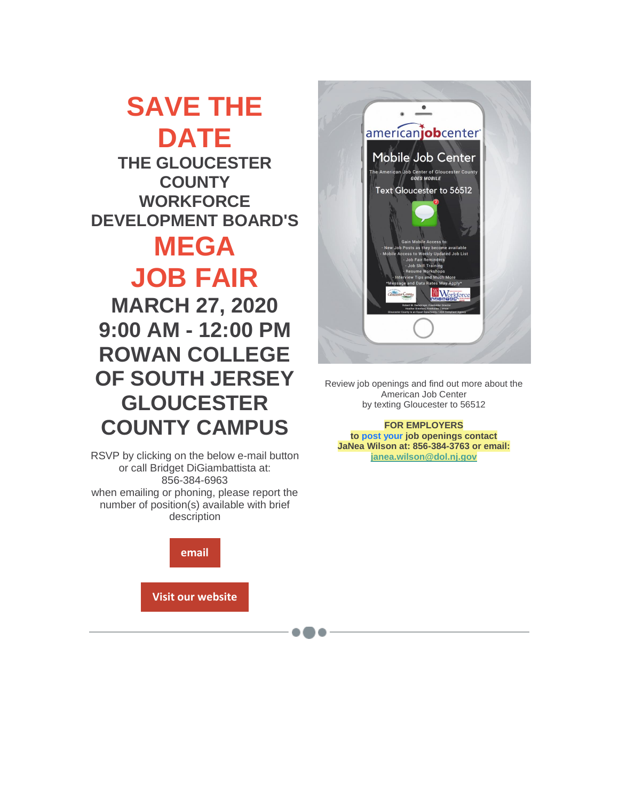**SAVE THE DATE THE GLOUCESTER COUNTY WORKFORCE DEVELOPMENT BOARD'S MEGA JOB FAIR MARCH 27, 2020 9:00 AM - 12:00 PM ROWAN COLLEGE** 

**OF SOUTH JERSEY GLOUCESTER COUNTY CAMPUS**

RSVP by clicking on the below e-mail button or call Bridget DiGiambattista at: 856-384-6963 when emailing or phoning, please report the number of position(s) available with brief description





Review job openings and find out more about the American Job Center by texting Gloucester to 56512

**FOR EMPLOYERS to post your job openings contact JaNea Wilson at: 856-384-3763 or email: [janea.wilson@dol.nj.gov](mailto:janea.wilson@dol.nj.gov)**